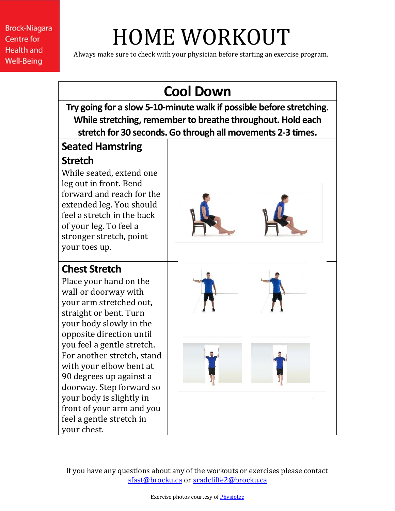**Brock-Niagara Centre for Health and Well-Being** 

# HOME WORKOUT

Always make sure to check with your physician before starting an exercise program.

### **Cool Down**

**Try going for a slow 5-10-minute walk if possible before stretching. While stretching, remember to breathe throughout. Hold each stretch for 30 seconds.Go through all movements 2-3 times.**

### **Seated Hamstring**

#### **Stretch**

While seated, extend one leg out in front. Bend forward and reach for the extended leg. You should feel a stretch in the back of your leg. To feel a stronger stretch, point your toes up.

#### **Chest Stretch**

Place your hand on the wall or doorway with your arm stretched out, straight or bent. Turn your body slowly in the opposite direction until you feel a gentle stretch. For another stretch, stand with your elbow bent at 90 degrees up against a doorway. Step forward so your body is slightly in front of your arm and you feel a gentle stretch in your chest.





If you have any questions about any of the workouts or exercises please contact [afast@brocku.ca](mailto:afast@brocku.ca) or [sradcliffe2@brocku.ca](mailto:sradcliffe2@brocku.ca)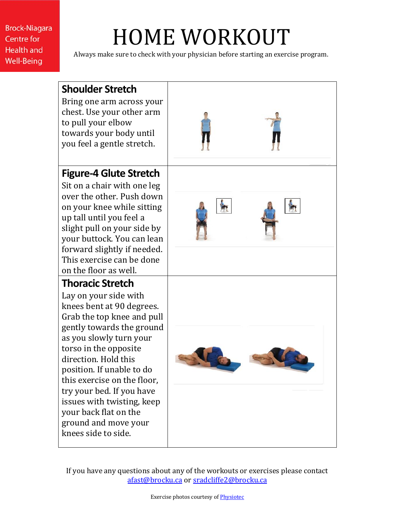**Brock-Niagara Centre for Health and Well-Being** 

### HOME WORKOUT

Always make sure to check with your physician before starting an exercise program.



If you have any questions about any of the workouts or exercises please contact [afast@brocku.ca](mailto:afast@brocku.ca) or [sradcliffe2@brocku.ca](mailto:sradcliffe2@brocku.ca)